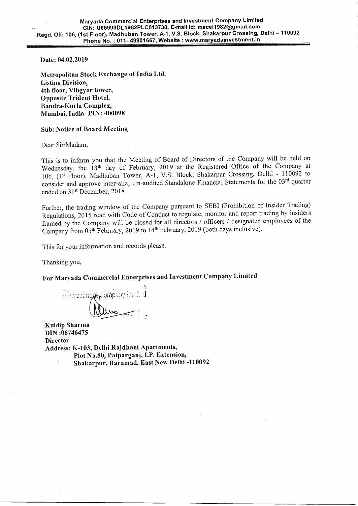Date: 04.02.2019

Metropolitan Stock Exchange of India Ltd. Listing Division, 4th floor, Vibgyor tower, Opposite Trident Hotel, Bandra-Kurla Complex, Mumbai, India- PIN: 400098

## Sub: Notice of Board Meeting

Dear Sir/Madam,

This is to inform you that the Meeting of Board of Directors of the Company will be held on Wednesday, the 13<sup>th</sup> day of February, 2019 at the Registered Office of the Company at 106, (1st Floor), Madhuban Tower, A-1, V.S. Block, Shakarpur Crossing, Delhi - 110092 to consider and approve inter-alia, Un-audited Standalone Financial Statements for the 03rd quarter ended on 31st December, 2018.

Further, the trading window of the Company pursuant to SEBI (Prohibition of Insider Trading) Regulations, 2015 read with Code of Conduct to regulate, monitor and report trading by insiders framed by the Company will be closed for all directors / officers / designated employees of the Company from 05<sup>th</sup> February, 2019 to 14<sup>th</sup> February, 2019 (both days inclusive).

This for your information and records please.

Thanking you,

For Maryada Commercial Enterprises and Investment Company Limited

A hvestnoghCompany Limit d

Kuldip Sharma DIN :06746475 **Director** Address: K-103, Delhi Rajdhani Apartments, Plot No.80, Patparganj, I.P. Extension, Shakarpur, Baramad, East New Delhi -110092